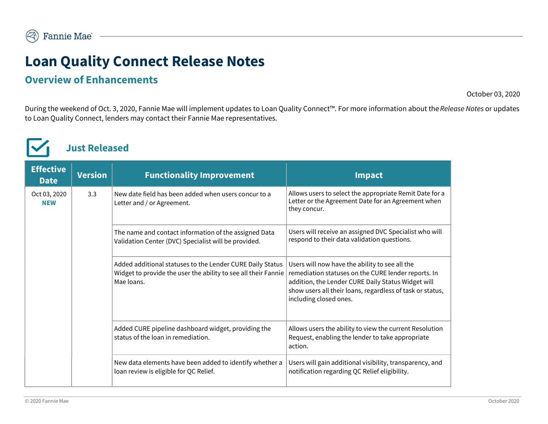# Loan Quality Connect Release Notes

#### Overview of Enhancements

October 03, 2020

During the weekend of Oct. 3, 2020, Fannie Mae will implement updates to Loan Quality Connect™. For more information about the Release Notes or updates to Loan Quality Connect, lenders may contact their Fannie Mae representatives.



Just Released

| <b>Effective</b><br><b>Date</b> | <b>Version</b> | <b>Functionality Improvement</b>                                                                                                          | <b>Impact</b>                                                                                                                                                                                                                                      |
|---------------------------------|----------------|-------------------------------------------------------------------------------------------------------------------------------------------|----------------------------------------------------------------------------------------------------------------------------------------------------------------------------------------------------------------------------------------------------|
| Oct 03, 2020<br><b>NEW</b>      | 3.3            | New date field has been added when users concur to a<br>Letter and / or Agreement.                                                        | Allows users to select the appropriate Remit Date for a<br>Letter or the Agreement Date for an Agreement when<br>they concur.                                                                                                                      |
|                                 |                | The name and contact information of the assigned Data<br>Validation Center (DVC) Specialist will be provided.                             | Users will receive an assigned DVC Specialist who will<br>respond to their data validation questions.                                                                                                                                              |
|                                 |                | Added additional statuses to the Lender CURE Daily Status<br>Widget to provide the user the ability to see all their Fannie<br>Mae loans. | Users will now have the ability to see all the<br>remediation statuses on the CURE lender reports. In<br>addition, the Lender CURE Daily Status Widget will<br>show users all their loans, regardless of task or status,<br>including closed ones. |
|                                 |                | Added CURE pipeline dashboard widget, providing the<br>status of the loan in remediation.                                                 | Allows users the ability to view the current Resolution<br>Request, enabling the lender to take appropriate<br>action.                                                                                                                             |
|                                 |                | New data elements have been added to identify whether a<br>loan review is eligible for QC Relief.                                         | Users will gain additional visibility, transparency, and<br>notification regarding QC Relief eligibility.                                                                                                                                          |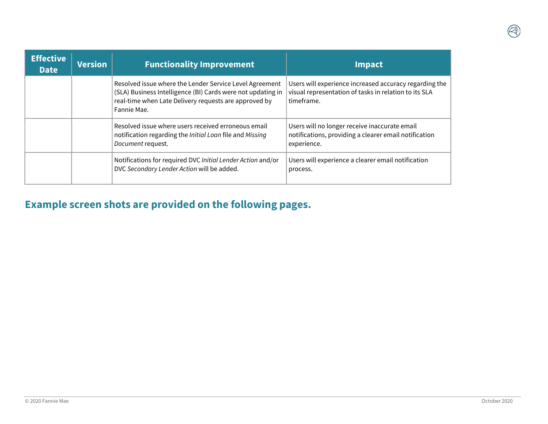| <b>Effective</b><br><b>Date</b> | <b>Version</b> | <b>Functionality Improvement</b>                                                                                                                                                               | <b>Impact</b>                                                                                                                 |
|---------------------------------|----------------|------------------------------------------------------------------------------------------------------------------------------------------------------------------------------------------------|-------------------------------------------------------------------------------------------------------------------------------|
|                                 |                | Resolved issue where the Lender Service Level Agreement<br>(SLA) Business Intelligence (BI) Cards were not updating in<br>real-time when Late Delivery requests are approved by<br>Fannie Mae. | Users will experience increased accuracy regarding the<br>visual representation of tasks in relation to its SLA<br>timeframe. |
|                                 |                | Resolved issue where users received erroneous email<br>notification regarding the Initial Loan file and Missing<br>Document request.                                                           | Users will no longer receive inaccurate email<br>notifications, providing a clearer email notification<br>experience.         |
|                                 |                | Notifications for required DVC Initial Lender Action and/or<br>DVC Secondary Lender Action will be added.                                                                                      | Users will experience a clearer email notification<br>process.                                                                |

### Example screen shots are provided on the following pages.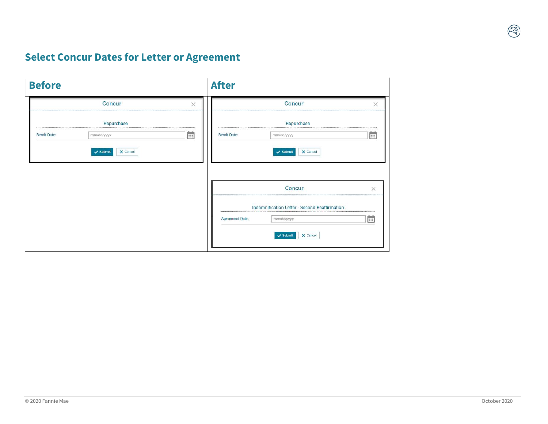# Select Concur Dates for Letter or Agreement

| <b>Before</b>      |            |                 | <b>After</b>           |                                               |           |
|--------------------|------------|-----------------|------------------------|-----------------------------------------------|-----------|
|                    | Concur     | $\times$        |                        | Concur                                        | ×         |
|                    | Repurchase |                 |                        | Repurchase                                    |           |
| <b>Remit Date:</b> | mm/dd/yyyy | $\frac{1}{111}$ | <b>Remit Date:</b>     | mm/dd/yyyy                                    | <b>EB</b> |
|                    |            |                 |                        | Concur                                        | $\times$  |
|                    |            |                 |                        | Indemnification Letter - Second Reaffirmation |           |
|                    |            |                 | <b>Agreement Date:</b> | mm/dd/yyyy                                    | 曲         |
|                    |            |                 |                        | $\checkmark$ Submit<br>X Cancel               |           |

 $\begin{pmatrix} 1 \\ 1 \\ 0 \end{pmatrix}$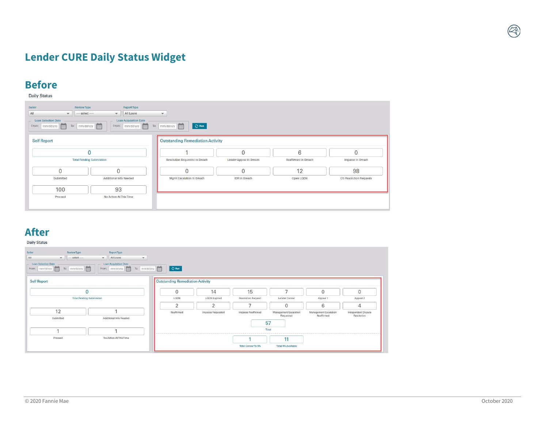# Lender CURE Daily Status Widget

# **Before**

| Seller<br>Review Type<br>All<br>$\mathbf{v}$                | Report Type<br>All Loans<br>$-$ select $-$<br>$\mathbf{v}$ | $\mathbf{v}$                            |                         |                      |                        |
|-------------------------------------------------------------|------------------------------------------------------------|-----------------------------------------|-------------------------|----------------------|------------------------|
| <b>Loan Selection Date</b><br><b>FEE</b><br>From: mm/dd/yyy | Loan Acquisition Date<br>From: mm/dd/yyy<br>To: mm/dd/yyy  | To: mm/dd/yyy<br><b>この Run</b>          |                         |                      |                        |
| <b>Self Report</b>                                          |                                                            | <b>Outstanding Remediation Activity</b> |                         |                      |                        |
|                                                             |                                                            |                                         | $\overline{0}$          | 6                    | $\overline{0}$         |
|                                                             | <b>Total Pending Submission</b>                            | Resolution Requested In Breach          | Lender Appeal In Breach | Reaffirmed In Breach | Impasse In Breach      |
| $\mathbf{0}$                                                | $\overline{0}$                                             | 0                                       | $\mathbf{0}$            | 12                   | 98                     |
| Submitted                                                   | Additional Info Needed                                     | Mgmt Escalation In Breach               | IDR In Breach           | Open LQDN            | OS Resolution Requests |
| 100                                                         | 93                                                         |                                         |                         |                      |                        |
| Proceed                                                     | No Action At This Time                                     |                                         |                         |                      |                        |
|                                                             |                                                            |                                         |                         |                      |                        |

#### After

Daily Status

| Seller<br>Review Type                        | Report Type                               |                                  |                           |                          |                           |                                     |                     |
|----------------------------------------------|-------------------------------------------|----------------------------------|---------------------------|--------------------------|---------------------------|-------------------------------------|---------------------|
| All<br>$-$ select $-$<br>$\mathbf{v}$        | All Loans<br>$\mathbf{v}$<br>$\mathbf{v}$ |                                  |                           |                          |                           |                                     |                     |
| <b>Loan Selection Date</b>                   | <b>Loan Acquisition Date</b>              |                                  |                           |                          |                           |                                     |                     |
| To:   mm/dd/yyy   [11]<br>From: mm/dd/yyy 1: | From: mm/dd/yyy [11]<br>To: mm/dd/yyy     | $Q$ Run                          |                           |                          |                           |                                     |                     |
| <b>Self Report</b>                           |                                           | Outstanding Remediation Activity |                           |                          |                           |                                     |                     |
|                                              | $\overline{0}$                            | $\mathbf{0}$                     | 14                        | 15                       | $\overline{\phantom{0}}$  | $\mathbf{0}$                        | $\overline{0}$      |
| <b>Total Pending Submission</b>              | LODN                                      | <b>LQDN</b> Expired              | <b>Resolution Request</b> | Lender Concur            | Appeal 1                  | Appeal 2                            |                     |
|                                              |                                           | $\overline{2}$                   | $\overline{2}$            | ⇁                        | $\overline{0}$            | 6                                   | $\overline{4}$      |
| 12                                           |                                           | Reaffirmed                       | Impasse Requested         | Impasse Reaffirmed       | Management Escalation     | Management Escalation<br>Reaffirmed | Independent Dispute |
| Submitted                                    | Additional Info Needed                    |                                  |                           |                          | Requested                 |                                     | Resolution          |
|                                              |                                           |                                  |                           |                          | 57                        |                                     |                     |
|                                              | ٠                                         |                                  |                           |                          | Total                     |                                     |                     |
| Proceed                                      | No Action At This Time                    |                                  |                           |                          | 11                        |                                     |                     |
|                                              |                                           |                                  |                           | <b>Total ConcurTo RA</b> | <b>Total RA Available</b> |                                     |                     |

**A**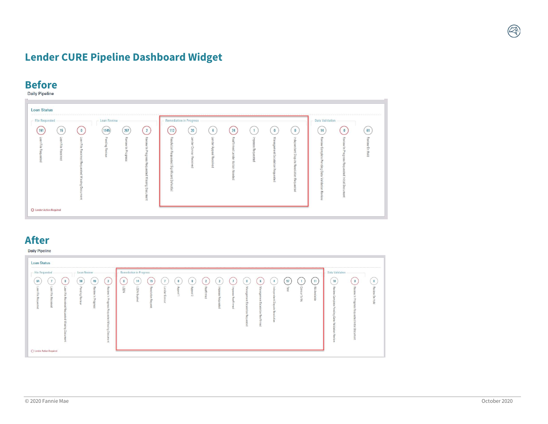# Lender CURE Pipeline Dashboard Widget

# **Before**

| - File Requested                                              |                                                             | Loan Review            |                                  |                                                                                                                          | <b>Remediation in Progress</b>                    |                                  |                                                  |                                                          |                                                                  |                                                                                                                            |                                                                                                                 | <b>Data Validation</b>                                                                                                                                                         |                                                                     |                      |
|---------------------------------------------------------------|-------------------------------------------------------------|------------------------|----------------------------------|--------------------------------------------------------------------------------------------------------------------------|---------------------------------------------------|----------------------------------|--------------------------------------------------|----------------------------------------------------------|------------------------------------------------------------------|----------------------------------------------------------------------------------------------------------------------------|-----------------------------------------------------------------------------------------------------------------|--------------------------------------------------------------------------------------------------------------------------------------------------------------------------------|---------------------------------------------------------------------|----------------------|
| 15<br>191<br>Loan File Requested<br>Loan File<br>Rec<br>payed | Loan File<br>Received<br>Reque<br>paper<br>Missing Document | 1145<br>Pending Review | 267<br>Revie<br>ξ<br>in Progress | $\overline{2}$<br>Revie<br>ź<br>$\equiv$<br>$\mathbf{\tau}$<br>rogress<br>Requ<br>$\bar{a}$<br>perse<br>Missing Document | 112<br>Resolution Requested Significant Defect(s) | $20\,$<br>Lender Concur Received | 6<br>Lender<br>Appeal<br>Rθ<br>$\circ$<br>beived | 24<br>Reaffirm<br>eq.<br>H<br>ender.<br>Action<br>Needed | $\mathbf{1}$<br>lmpas<br>$\epsilon$<br>$\infty$<br>Requ<br>ested | $\bf{0}$<br>Ξ<br>⇒<br>$\omega$<br>$\overline{a}$<br>m<br>$\infty$<br>且<br>m<br>w<br>$\circ$<br>alatio<br>Ξ<br>Requ<br>sted | $\bf{0}$<br>Indepe<br><b>Indent</b><br>Dispute<br>$\frac{1}{6}$<br>$\tilde{\mathcal{D}}$<br>higher<br>Requested | 14<br>공<br>$\overline{c}$<br>$\circ$<br>$\circ$<br>elgie<br>$\overline{a}$<br>$\overline{u}$<br>$\infty$<br>Buipue<br>Data<br>Validation<br>ΒB<br>$\epsilon$<br>$\overline{a}$ | $\bf{0}$<br>Review<br>ln P<br>rogress<br>Requested Initial Document | 61<br>Review On Hold |

#### After Daily Pipeline

| - File Requested                                                                                                                                                                                                                                                                          | Loan Review                                                                                                                                                                                                            | - Remediation in Progress                                                                                                                                                                                                                                                                                                                                                                                                                                                                                                                                                                                                                                              | Data Validation                                                                                                                                                                                                                                                 |
|-------------------------------------------------------------------------------------------------------------------------------------------------------------------------------------------------------------------------------------------------------------------------------------------|------------------------------------------------------------------------------------------------------------------------------------------------------------------------------------------------------------------------|------------------------------------------------------------------------------------------------------------------------------------------------------------------------------------------------------------------------------------------------------------------------------------------------------------------------------------------------------------------------------------------------------------------------------------------------------------------------------------------------------------------------------------------------------------------------------------------------------------------------------------------------------------------------|-----------------------------------------------------------------------------------------------------------------------------------------------------------------------------------------------------------------------------------------------------------------|
| 64<br>$\overline{7}$<br>$\mathbf{0}$<br>coan File Requested<br>$\circ$<br>a<br>$\infty$<br>File Received<br>E<br>$\overline{a}$<br>RB <sub>10</sub><br>$\overline{a}$<br>$\infty$<br><b>c6</b><br>$\sim$<br>$\equiv$<br>$\overline{a}$<br>m<br>$\infty$<br>ā.<br>○ Lender Action Required | 58<br>$\overline{3}$<br>49<br>Revie<br>Pending Revie<br>굚<br>₹<br>In Progress<br>$\equiv$<br>$\mathbf{U}$<br>esserbor<br>$\leq$<br>Requ<br>$\sigma$<br>ią.<br>69<br>$\alpha$<br>Miss<br>$\frac{1}{6}$<br>Dacu<br>unent | 57<br>11<br>$\overline{0}$<br>15<br>$\overline{\mathfrak{I}}$<br>$\bf{0}$<br>$\overline{2}$<br>$\overline{1}$<br>6<br>14<br>$\overline{2}$<br>$\bf{0}$<br>$\bf{0}$<br>4<br>imp.<br>Appeal 1<br>Reaffirmed<br>罗<br>LapN<br>LabN<br>Lende<br>$\frac{8}{10}$<br>Man<br>Inde<br>곪<br>Appeal 2<br>Con<br>Total<br>Ξ<br>$\overline{a}$<br>핗<br><b>COL</b><br>$\alpha$<br>$\overline{a}$<br>з<br><b>CO</b><br>Expired<br>$\overline{a}$<br>$\rightarrow$<br>tion<br>Concur<br>liable<br>To RA<br>$\sim$<br>굥<br>$\frac{20}{6}$<br>$\Rightarrow$<br>م<br>$\rightarrow$<br>$\equiv$<br>aquest<br>m<br>ã<br>$\sim$<br>c<br>$\equiv$<br>$\overline{c}$<br>ă<br>g<br>œ<br>$\alpha$ | 10<br>$\mathbf{0}$<br>$\mathbf{0}$<br>眾<br>Revie<br>PB <sub>1</sub><br>blo H no we<br>$\frac{1}{9}$<br>⇨<br>O<br>Progress<br>ø<br>m<br>ϕ<br>품<br>a.<br><b>JD</b><br>Ξ<br>$\bar{a}$<br>$\sigma$<br>ö<br>凹<br>m<br>G<br>Initial Docu<br>πő<br>Ē<br>a<br>œ<br>ment |

A